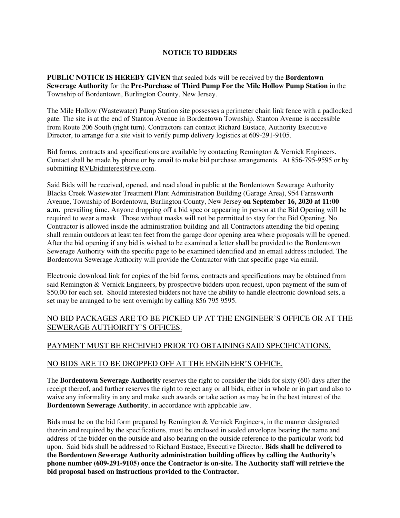## **NOTICE TO BIDDERS**

**PUBLIC NOTICE IS HEREBY GIVEN** that sealed bids will be received by the **Bordentown Sewerage Authority** for the **Pre-Purchase of Third Pump For the Mile Hollow Pump Station** in the Township of Bordentown, Burlington County, New Jersey.

The Mile Hollow (Wastewater) Pump Station site possesses a perimeter chain link fence with a padlocked gate. The site is at the end of Stanton Avenue in Bordentown Township. Stanton Avenue is accessible from Route 206 South (right turn). Contractors can contact Richard Eustace, Authority Executive Director, to arrange for a site visit to verify pump delivery logistics at 609-291-9105.

Bid forms, contracts and specifications are available by contacting Remington & Vernick Engineers. Contact shall be made by phone or by email to make bid purchase arrangements. At 856-795-9595 or by submitting RVEbidinterest@rve.com.

Said Bids will be received, opened, and read aloud in public at the Bordentown Sewerage Authority Blacks Creek Wastewater Treatment Plant Administration Building (Garage Area), 954 Farnsworth Avenue, Township of Bordentown, Burlington County, New Jersey **on September 16, 2020 at 11:00 a.m.** prevailing time. Anyone dropping off a bid spec or appearing in person at the Bid Opening will be required to wear a mask. Those without masks will not be permitted to stay for the Bid Opening. No Contractor is allowed inside the administration building and all Contractors attending the bid opening shall remain outdoors at least ten feet from the garage door opening area where proposals will be opened. After the bid opening if any bid is wished to be examined a letter shall be provided to the Bordentown Sewerage Authority with the specific page to be examined identified and an email address included. The Bordentown Sewerage Authority will provide the Contractor with that specific page via email.

Electronic download link for copies of the bid forms, contracts and specifications may be obtained from said Remington & Vernick Engineers, by prospective bidders upon request, upon payment of the sum of \$50.00 for each set. Should interested bidders not have the ability to handle electronic download sets, a set may be arranged to be sent overnight by calling 856 795 9595.

# NO BID PACKAGES ARE TO BE PICKED UP AT THE ENGINEER'S OFFICE OR AT THE SEWERAGE AUTHOIRITY'S OFFICES.

## PAYMENT MUST BE RECEIVED PRIOR TO OBTAINING SAID SPECIFICATIONS.

#### NO BIDS ARE TO BE DROPPED OFF AT THE ENGINEER'S OFFICE.

The **Bordentown Sewerage Authority** reserves the right to consider the bids for sixty (60) days after the receipt thereof, and further reserves the right to reject any or all bids, either in whole or in part and also to waive any informality in any and make such awards or take action as may be in the best interest of the **Bordentown Sewerage Authority**, in accordance with applicable law.

Bids must be on the bid form prepared by Remington & Vernick Engineers, in the manner designated therein and required by the specifications, must be enclosed in sealed envelopes bearing the name and address of the bidder on the outside and also bearing on the outside reference to the particular work bid upon. Said bids shall be addressed to Richard Eustace, Executive Director. **Bids shall be delivered to the Bordentown Sewerage Authority administration building offices by calling the Authority's phone number (609-291-9105) once the Contractor is on-site. The Authority staff will retrieve the bid proposal based on instructions provided to the Contractor.**